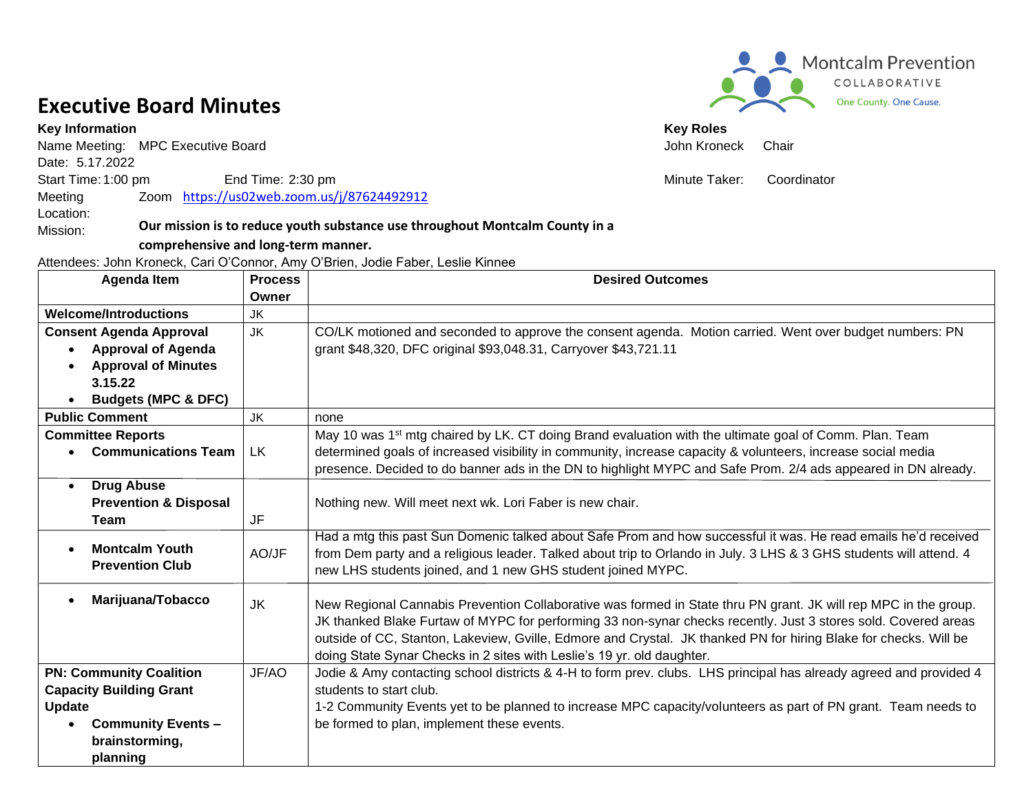## **Executive Board Minutes**

Mission:

Name Meeting: MPC Executive Board **Chair** And The Meeting: MPC Executive Board **John Kroneck** Chair Date: 5.17.2022 Start Time: 1:00 pm End Time: 2:30 pm end Time: 2:30 pm end to the Minute Taker: Coordinator Meeting Location: Zoom <https://us02web.zoom.us/j/87624492912>

## **Our mission is to reduce youth substance use throughout Montcalm County in a**

## **comprehensive and long-term manner.**

Attendees: John Kroneck, Cari O'Connor, Amy O'Brien, Jodie Faber, Leslie Kinnee

|                                | <b>Agenda Item</b>               | <b>Process</b><br>Owner | <b>Desired Outcomes</b>                                                                                            |
|--------------------------------|----------------------------------|-------------------------|--------------------------------------------------------------------------------------------------------------------|
|                                | <b>Welcome/Introductions</b>     | JK                      |                                                                                                                    |
| <b>Consent Agenda Approval</b> |                                  | <b>JK</b>               | CO/LK motioned and seconded to approve the consent agenda. Motion carried. Went over budget numbers: PN            |
|                                | <b>Approval of Agenda</b>        |                         | grant \$48,320, DFC original \$93,048.31, Carryover \$43,721.11                                                    |
|                                | <b>Approval of Minutes</b>       |                         |                                                                                                                    |
|                                | 3.15.22                          |                         |                                                                                                                    |
|                                | <b>Budgets (MPC &amp; DFC)</b>   |                         |                                                                                                                    |
|                                | <b>Public Comment</b>            | JK                      | none                                                                                                               |
|                                | <b>Committee Reports</b>         |                         | May 10 was 1 <sup>st</sup> mtg chaired by LK. CT doing Brand evaluation with the ultimate goal of Comm. Plan. Team |
|                                | <b>Communications Team</b>       | <b>LK</b>               | determined goals of increased visibility in community, increase capacity & volunteers, increase social media       |
|                                |                                  |                         | presence. Decided to do banner ads in the DN to highlight MYPC and Safe Prom. 2/4 ads appeared in DN already.      |
| $\bullet$                      | <b>Drug Abuse</b>                |                         |                                                                                                                    |
|                                | <b>Prevention &amp; Disposal</b> |                         | Nothing new. Will meet next wk. Lori Faber is new chair.                                                           |
|                                | <b>Team</b>                      | JF                      |                                                                                                                    |
|                                | <b>Montcalm Youth</b>            |                         | Had a mtg this past Sun Domenic talked about Safe Prom and how successful it was. He read emails he'd received     |
|                                | <b>Prevention Club</b>           | AO/JF                   | from Dem party and a religious leader. Talked about trip to Orlando in July. 3 LHS & 3 GHS students will attend. 4 |
|                                |                                  |                         | new LHS students joined, and 1 new GHS student joined MYPC.                                                        |
|                                | Marijuana/Tobacco                | <b>JK</b>               | New Regional Cannabis Prevention Collaborative was formed in State thru PN grant. JK will rep MPC in the group.    |
|                                |                                  |                         | JK thanked Blake Furtaw of MYPC for performing 33 non-synar checks recently. Just 3 stores sold. Covered areas     |
|                                |                                  |                         | outside of CC, Stanton, Lakeview, Gville, Edmore and Crystal. JK thanked PN for hiring Blake for checks. Will be   |
|                                |                                  |                         | doing State Synar Checks in 2 sites with Leslie's 19 yr. old daughter.                                             |
|                                | <b>PN: Community Coalition</b>   | JF/AO                   | Jodie & Amy contacting school districts & 4-H to form prev. clubs. LHS principal has already agreed and provided 4 |
| <b>Capacity Building Grant</b> |                                  |                         | students to start club.                                                                                            |
| <b>Update</b>                  |                                  |                         | 1-2 Community Events yet to be planned to increase MPC capacity/volunteers as part of PN grant. Team needs to      |
|                                | <b>Community Events -</b>        |                         | be formed to plan, implement these events.                                                                         |
|                                | brainstorming,                   |                         |                                                                                                                    |
|                                | planning                         |                         |                                                                                                                    |



**Key Information** Key Roles